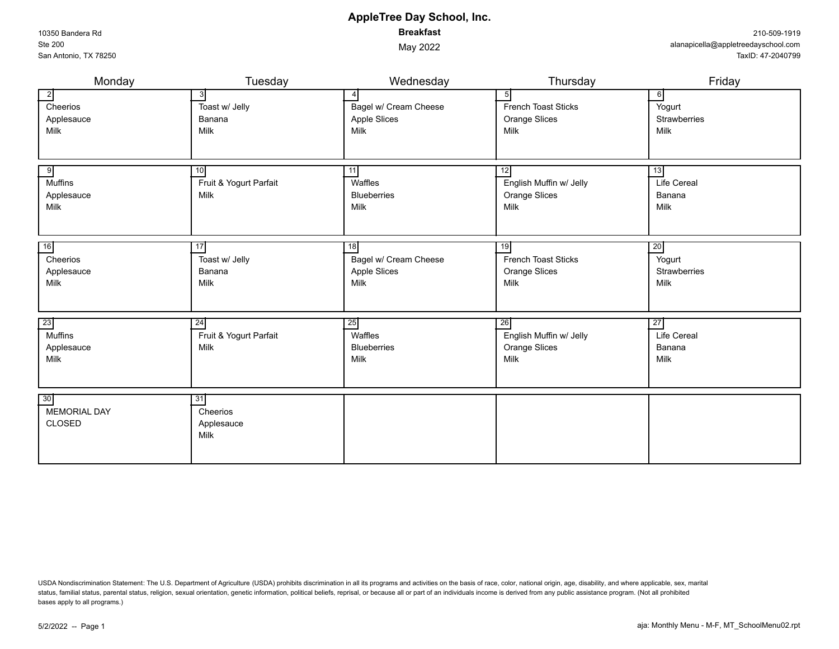USDA Nondiscrimination Statement: The U.S. Department of Agriculture (USDA) prohibits discrimination in all its programs and activities on the basis of race, color, national origin, age, disability, and where applicable, s status, familial status, parental status, religion, sexual orientation, genetic information, political beliefs, reprisal, or because all or part of an individuals income is derived from any public assistance program. (Not bases apply to all programs.)

| Monday                                         | Tuesday                                | Wednesday                                                              | Thursday                                                         | Friday                                                   |
|------------------------------------------------|----------------------------------------|------------------------------------------------------------------------|------------------------------------------------------------------|----------------------------------------------------------|
| <sup>2</sup><br>Cheerios<br>Applesauce<br>Milk | 3<br>Toast w/ Jelly<br>Banana<br>Milk  | $\overline{4}$<br>Bagel w/ Cream Cheese<br><b>Apple Slices</b><br>Milk | 5<br>French Toast Sticks<br><b>Orange Slices</b><br>Milk         | $6 \mid$<br>Yogurt<br><b>Strawberries</b><br>Milk        |
| 9<br><b>Muffins</b><br>Applesauce<br>Milk      | 10<br>Fruit & Yogurt Parfait<br>Milk   | 11<br>Waffles<br>Blueberries<br>Milk                                   | 12<br>English Muffin w/ Jelly<br><b>Orange Slices</b><br>Milk    | 13 <br>Life Cereal<br>Banana<br>Milk                     |
| 16<br>Cheerios<br>Applesauce<br>Milk           | 17<br>Toast w/ Jelly<br>Banana<br>Milk | 18<br>Bagel w/ Cream Cheese<br>Apple Slices<br>Milk                    | 19<br><b>French Toast Sticks</b><br><b>Orange Slices</b><br>Milk | $\overline{20}$<br>Yogurt<br><b>Strawberries</b><br>Milk |
| 23<br>Muffins<br>Applesauce<br>Milk            | 24<br>Fruit & Yogurt Parfait<br>Milk   | 25<br>Waffles<br><b>Blueberries</b><br>Milk                            | 26<br>English Muffin w/ Jelly<br><b>Orange Slices</b><br>Milk    | $\overline{27}$<br>Life Cereal<br>Banana<br>Milk         |
| 30<br><b>MEMORIAL DAY</b><br><b>CLOSED</b>     | 31<br>Cheerios<br>Applesauce<br>Milk   |                                                                        |                                                                  |                                                          |

**AppleTree Day School, Inc. Breakfast**

May 2022

10350 Bandera Rd Ste 200 San Antonio, TX 78250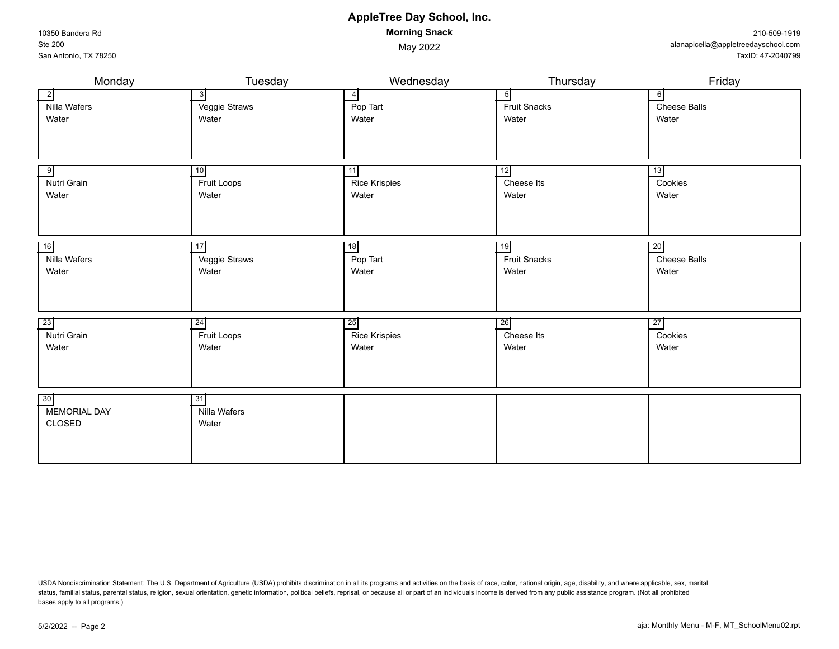USDA Nondiscrimination Statement: The U.S. Department of Agriculture (USDA) prohibits discrimination in all its programs and activities on the basis of race, color, national origin, age, disability, and where applicable, s status, familial status, parental status, religion, sexual orientation, genetic information, political beliefs, reprisal, or because all or part of an individuals income is derived from any public assistance program. (Not bases apply to all programs.)

30 31

Nilla Wafers **Water** 

MEMORIAL DAY CLOSED

# **AppleTree Day School, Inc. Morning Snack**

May 2022

#### Monday Tuesday Wednesday Thursday Friday 2 3 4 5 6 Nilla Wafers Water Veggie Straws **Water** Pop Tart **Water** Fruit Snacks **Water** Cheese Balls Water 9 10 11 12 13 Nutri Grain **Water** Fruit Loops **Water** Rice Krispies **Water** Cheese Its **Water** Cookies **Water**  16 17 18 19 20 Nilla Wafers **Water** Veggie Straws **Water** Pop Tart **Water** Fruit Snacks **Water** Cheese Balls Water 23 23 24 25 26 Nutri Grain Water Fruit Loops Water Rice Krispies Water Cheese Its **Water Cookies** Water

| 10350 Bandera Rd      |
|-----------------------|
| Ste 200               |
| San Antonio, TX 78250 |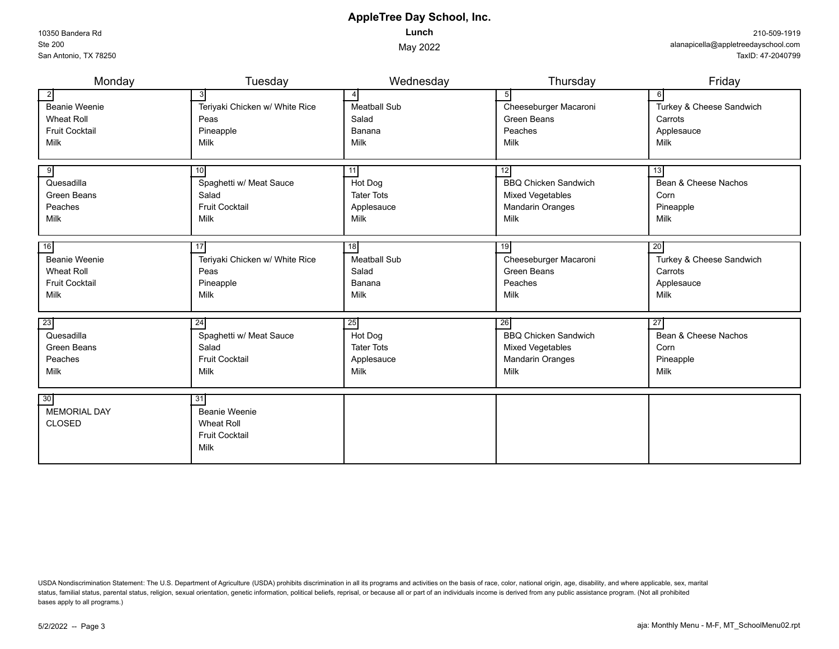10350 Bandera Rd Ste 200 San Antonio, TX 78250

## **AppleTree Day School, Inc. Lunch**

May 2022

| Monday                | Tuesday                        | Wednesday           | Thursday                    | Friday                   |
|-----------------------|--------------------------------|---------------------|-----------------------------|--------------------------|
| $\overline{2}$        |                                | 4                   | 5 <sup>1</sup>              | $6 \mid$                 |
| <b>Beanie Weenie</b>  | Teriyaki Chicken w/ White Rice | <b>Meatball Sub</b> | Cheeseburger Macaroni       | Turkey & Cheese Sandwich |
| <b>Wheat Roll</b>     | Peas                           | Salad               | Green Beans                 | Carrots                  |
| <b>Fruit Cocktail</b> | Pineapple                      | Banana              | Peaches                     | Applesauce               |
| Milk                  | Milk                           | Milk                | Milk                        | Milk                     |
|                       |                                |                     |                             |                          |
| 9                     | 10                             | 11                  | 12                          | 13                       |
| Quesadilla            | Spaghetti w/ Meat Sauce        | Hot Dog             | <b>BBQ Chicken Sandwich</b> | Bean & Cheese Nachos     |
| <b>Green Beans</b>    | Salad                          | <b>Tater Tots</b>   | <b>Mixed Vegetables</b>     | Corn                     |
| Peaches               | <b>Fruit Cocktail</b>          | Applesauce          | <b>Mandarin Oranges</b>     | Pineapple                |
| Milk                  | Milk                           | Milk                | Milk                        | Milk                     |
|                       |                                |                     |                             |                          |
| 16                    | 17                             | 18                  | 19                          | 20                       |
| <b>Beanie Weenie</b>  | Teriyaki Chicken w/ White Rice | <b>Meatball Sub</b> | Cheeseburger Macaroni       | Turkey & Cheese Sandwich |
| <b>Wheat Roll</b>     | Peas                           | Salad               | Green Beans                 | Carrots                  |
| <b>Fruit Cocktail</b> | Pineapple                      | Banana              | Peaches                     | Applesauce               |
| Milk                  | <b>Milk</b>                    | Milk                | Milk                        | Milk                     |
|                       |                                |                     |                             |                          |
| 23                    | 24                             | 25                  | 26                          | 27                       |
| Quesadilla            | Spaghetti w/ Meat Sauce        | Hot Dog             | <b>BBQ Chicken Sandwich</b> | Bean & Cheese Nachos     |
| <b>Green Beans</b>    | Salad                          | <b>Tater Tots</b>   | <b>Mixed Vegetables</b>     | Corn                     |
| Peaches               | <b>Fruit Cocktail</b>          | Applesauce          | <b>Mandarin Oranges</b>     | Pineapple                |
| Milk                  | Milk                           | Milk                | Milk                        | Milk                     |
|                       |                                |                     |                             |                          |
| 30                    | $\overline{31}$                |                     |                             |                          |
| <b>MEMORIAL DAY</b>   | <b>Beanie Weenie</b>           |                     |                             |                          |
| <b>CLOSED</b>         | <b>Wheat Roll</b>              |                     |                             |                          |
|                       | <b>Fruit Cocktail</b>          |                     |                             |                          |
|                       | Milk                           |                     |                             |                          |
|                       |                                |                     |                             |                          |

USDA Nondiscrimination Statement: The U.S. Department of Agriculture (USDA) prohibits discrimination in all its programs and activities on the basis of race, color, national origin, age, disability, and where applicable, s status, familial status, parental status, religion, sexual orientation, genetic information, political beliefs, reprisal, or because all or part of an individuals income is derived from any public assistance program. (Not bases apply to all programs.)